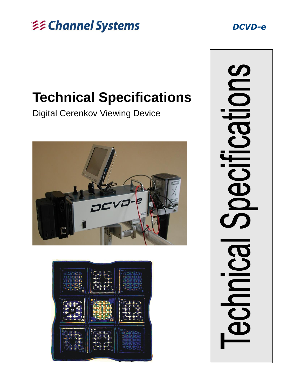

# **Technical Specifications**

Digital Cerenkov Viewing Device





**IONS TRSI** Decifi **BONDICO**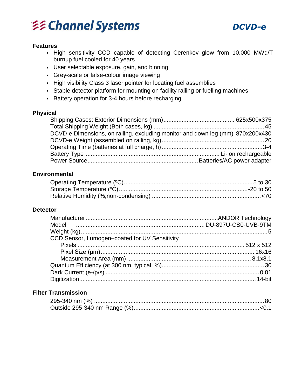# *DCVD-e*



### **Features**

- High sensitivity CCD capable of detecting Cerenkov glow from 10,000 MWd/T burnup fuel cooled for 40 years
- User selectable exposure, gain, and binning
- Grey-scale or false-colour image viewing
- High visibility Class 3 laser pointer for locating fuel assemblies
- Stable detector platform for mounting on facility railing or fuelling machines
- Battery operation for 3-4 hours before recharging

### **Physical**

| DCVD-e Dimensions, on railing, excluding monitor and down leg (mm) 870x200x430 |  |
|--------------------------------------------------------------------------------|--|
|                                                                                |  |
|                                                                                |  |
|                                                                                |  |
|                                                                                |  |

### **Environmental**

### **Detector**

| CCD Sensor, Lumogen-coated for UV Sensitivity |  |
|-----------------------------------------------|--|
|                                               |  |
|                                               |  |
|                                               |  |
|                                               |  |
|                                               |  |
|                                               |  |

# **Filter Transmission**